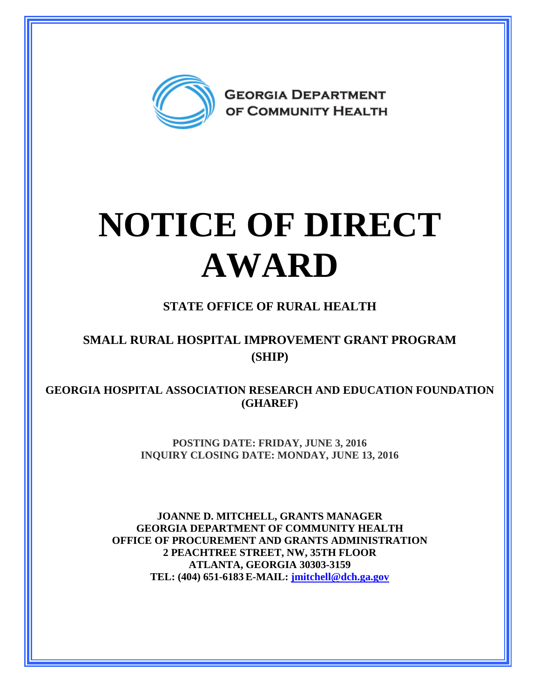

# **NOTICE OF DIRECT AWARD**

### **STATE OFFICE OF RURAL HEALTH**

#### **SMALL RURAL HOSPITAL IMPROVEMENT GRANT PROGRAM (SHIP)**

**GEORGIA HOSPITAL ASSOCIATION RESEARCH AND EDUCATION FOUNDATION (GHAREF)** 

> **POSTING DATE: FRIDAY, JUNE 3, 2016 INQUIRY CLOSING DATE: MONDAY, JUNE 13, 2016**

**JOANNE D. MITCHELL, GRANTS MANAGER GEORGIA DEPARTMENT OF COMMUNITY HEALTH OFFICE OF PROCUREMENT AND GRANTS ADMINISTRATION 2 PEACHTREE STREET, NW, 35TH FLOOR ATLANTA, GEORGIA 30303-3159 TEL: (404) 651-6183 E-MAIL: [jmitchell@dch.ga.gov](mailto:awatson@dch.ga.gov)**